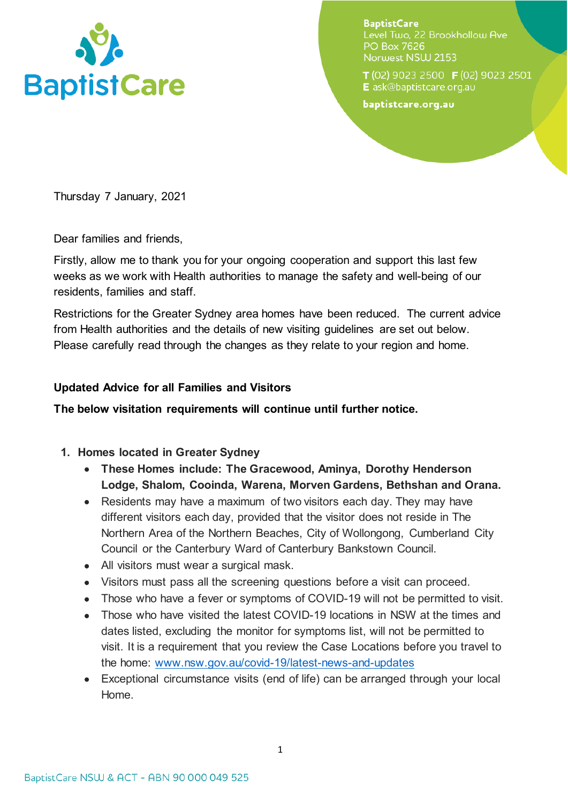

**BaptistCare** Level Two. 22 Brookhollow Ave **PO Box 7626** Norwest NSW 2153

T(02) 9023 2500 F(02) 9023 2501 E ask@baptistcare.org.au

baptistcare.org.au

Thursday 7 January, 2021

Dear families and friends,

Firstly, allow me to thank you for your ongoing cooperation and support this last few weeks as we work with Health authorities to manage the safety and well-being of our residents, families and staff.

Restrictions for the Greater Sydney area homes have been reduced. The current advice from Health authorities and the details of new visiting guidelines are set out below. Please carefully read through the changes as they relate to your region and home.

## **Updated Advice for all Families and Visitors**

**The below visitation requirements will continue until further notice.** 

- **1. Homes located in Greater Sydney** 
	- **These Homes include: The Gracewood, Aminya, Dorothy Henderson Lodge, Shalom, Cooinda, Warena, Morven Gardens, Bethshan and Orana.**
	- Residents may have a maximum of two visitors each day. They may have different visitors each day, provided that the visitor does not reside in The Northern Area of the Northern Beaches, City of Wollongong, Cumberland City Council or the Canterbury Ward of Canterbury Bankstown Council.
	- All visitors must wear a surgical mask.
	- Visitors must pass all the screening questions before a visit can proceed.
	- Those who have a fever or symptoms of COVID-19 will not be permitted to visit.
	- Those who have visited the latest COVID-19 locations in NSW at the times and dates listed, excluding the monitor for symptoms list, will not be permitted to visit. It is a requirement that you review the Case Locations before you travel to the home: [www.nsw.gov.au/covid-19/latest-news-and-updates](http://www.nsw.gov.au/covid-19/latest-news-and-updates)
	- Exceptional circumstance visits (end of life) can be arranged through your local Home.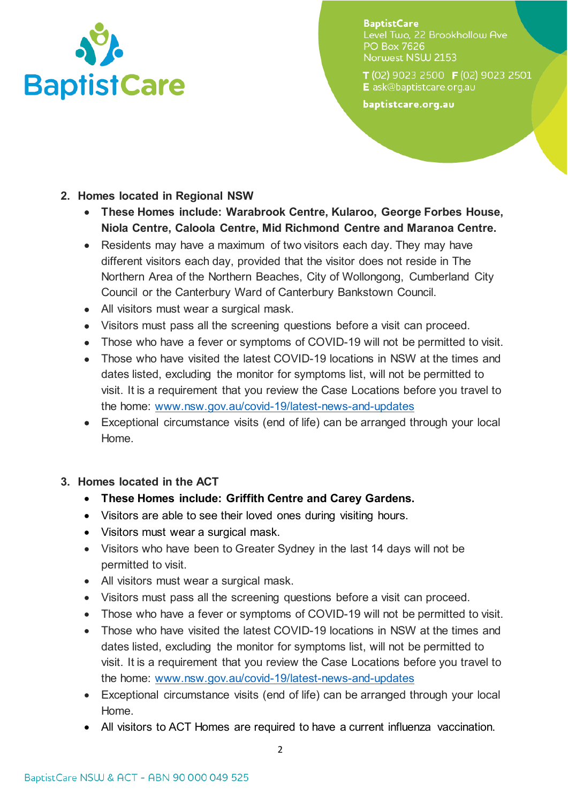

**BaptistCare** Level Two. 22 Brookhollow Ave **PO Box 7626** Norwest NSW 2153

T(02) 9023 2500 F(02) 9023 2501 E ask@baptistcare.org.au

baptistcare.org.au

- **2. Homes located in Regional NSW**
	- **These Homes include: Warabrook Centre, Kularoo, George Forbes House, Niola Centre, Caloola Centre, Mid Richmond Centre and Maranoa Centre.**
	- Residents may have a maximum of two visitors each day. They may have different visitors each day, provided that the visitor does not reside in The Northern Area of the Northern Beaches, City of Wollongong, Cumberland City Council or the Canterbury Ward of Canterbury Bankstown Council.
	- All visitors must wear a surgical mask.
	- Visitors must pass all the screening questions before a visit can proceed.
	- Those who have a fever or symptoms of COVID-19 will not be permitted to visit.
	- Those who have visited the latest COVID-19 locations in NSW at the times and dates listed, excluding the monitor for symptoms list, will not be permitted to visit. It is a requirement that you review the Case Locations before you travel to the home: [www.nsw.gov.au/covid-19/latest-news-and-updates](http://www.nsw.gov.au/covid-19/latest-news-and-updates)
	- Exceptional circumstance visits (end of life) can be arranged through your local Home.
- **3. Homes located in the ACT**
	- **These Homes include: Griffith Centre and Carey Gardens.**
	- Visitors are able to see their loved ones during visiting hours.
	- Visitors must wear a surgical mask.
	- Visitors who have been to Greater Sydney in the last 14 days will not be permitted to visit.
	- All visitors must wear a surgical mask.
	- Visitors must pass all the screening questions before a visit can proceed.
	- Those who have a fever or symptoms of COVID-19 will not be permitted to visit.
	- Those who have visited the latest COVID-19 locations in NSW at the times and dates listed, excluding the monitor for symptoms list, will not be permitted to visit. It is a requirement that you review the Case Locations before you travel to the home: [www.nsw.gov.au/covid-19/latest-news-and-updates](http://www.nsw.gov.au/covid-19/latest-news-and-updates)
	- Exceptional circumstance visits (end of life) can be arranged through your local Home.
	- All visitors to ACT Homes are required to have a current influenza vaccination.